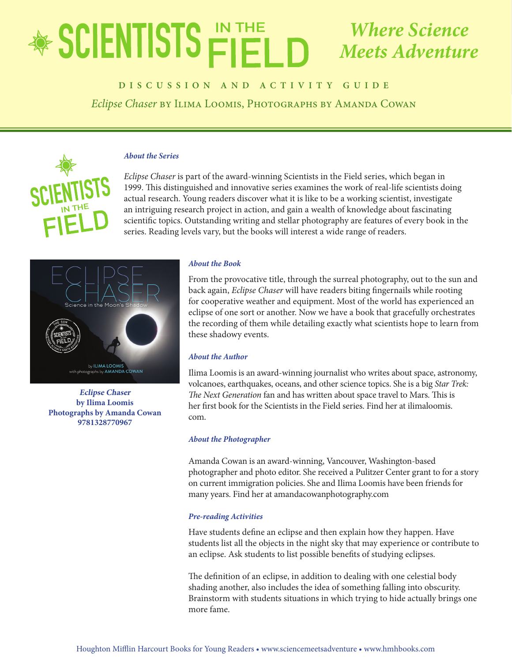## EDUCATOR'S GUIDE *Eclipse Chaser Where Science Meets Adventure*

# **biscussion AND ACTIVITY GUIDE**

*Eclipse Chaser* by Ilima Loomis, Photographs by Amanda Cowan



### *About the Series*

*Eclipse Chaser* is part of the award-winning Scientists in the Field series, which began in 1999. This distinguished and innovative series examines the work of real-life scientists doing actual research. Young readers discover what it is like to be a working scientist, investigate an intriguing research project in action, and gain a wealth of knowledge about fascinating scientific topics. Outstanding writing and stellar photography are features of every book in the series. Reading levels vary, but the books will interest a wide range of readers.



**Eclipse Chaser by Ilima Loomis Photographs by Amanda Cowan 9781328770967**

### *About the Book*

From the provocative title, through the surreal photography, out to the sun and back again, *Eclipse Chaser* will have readers biting fingernails while rooting for cooperative weather and equipment. Most of the world has experienced an eclipse of one sort or another. Now we have a book that gracefully orchestrates the recording of them while detailing exactly what scientists hope to learn from these shadowy events.

### *About the Author*

Ilima Loomis is an award-winning journalist who writes about space, astronomy, volcanoes, earthquakes, oceans, and other science topics. She is a big *Star Trek: The Next Generation* fan and has written about space travel to Mars. This is her first book for the Scientists in the Field series. Find her at ilimaloomis. com.

### *About the Photographer*

Amanda Cowan is an award-winning, Vancouver, Washington-based photographer and photo editor. She received a Pulitzer Center grant to for a story on current immigration policies. She and Ilima Loomis have been friends for many years. Find her at amandacowanphotography.com

### *Pre-reading Activities*

Have students define an eclipse and then explain how they happen. Have students list all the objects in the night sky that may experience or contribute to an eclipse. Ask students to list possible benefits of studying eclipses.

The definition of an eclipse, in addition to dealing with one celestial body shading another, also includes the idea of something falling into obscurity. Brainstorm with students situations in which trying to hide actually brings one more fame.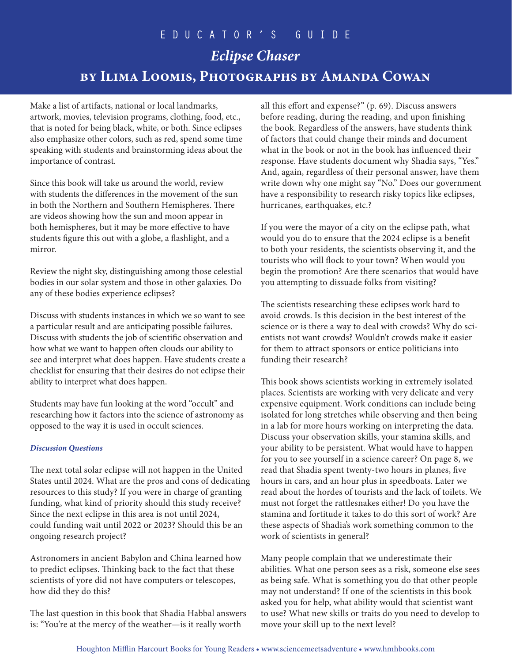# EDUCATOR'S GUIDE *Eclipse Chaser* **by Ilima Loomis, Photographs by Amanda Cowan**

Make a list of artifacts, national or local landmarks, artwork, movies, television programs, clothing, food, etc., that is noted for being black, white, or both. Since eclipses also emphasize other colors, such as red, spend some time speaking with students and brainstorming ideas about the importance of contrast.

Since this book will take us around the world, review with students the differences in the movement of the sun in both the Northern and Southern Hemispheres. There are videos showing how the sun and moon appear in both hemispheres, but it may be more effective to have students figure this out with a globe, a flashlight, and a mirror.

Review the night sky, distinguishing among those celestial bodies in our solar system and those in other galaxies. Do any of these bodies experience eclipses?

Discuss with students instances in which we so want to see a particular result and are anticipating possible failures. Discuss with students the job of scientific observation and how what we want to happen often clouds our ability to see and interpret what does happen. Have students create a checklist for ensuring that their desires do not eclipse their ability to interpret what does happen.

Students may have fun looking at the word "occult" and researching how it factors into the science of astronomy as opposed to the way it is used in occult sciences.

### *Discussion Questions*

The next total solar eclipse will not happen in the United States until 2024. What are the pros and cons of dedicating resources to this study? If you were in charge of granting funding, what kind of priority should this study receive? Since the next eclipse in this area is not until 2024, could funding wait until 2022 or 2023? Should this be an ongoing research project?

Astronomers in ancient Babylon and China learned how to predict eclipses. Thinking back to the fact that these scientists of yore did not have computers or telescopes, how did they do this?

The last question in this book that Shadia Habbal answers is: "You're at the mercy of the weather—is it really worth

all this effort and expense?" (p. 69). Discuss answers before reading, during the reading, and upon finishing the book. Regardless of the answers, have students think of factors that could change their minds and document what in the book or not in the book has influenced their response. Have students document why Shadia says, "Yes." And, again, regardless of their personal answer, have them write down why one might say "No." Does our government have a responsibility to research risky topics like eclipses, hurricanes, earthquakes, etc.?

If you were the mayor of a city on the eclipse path, what would you do to ensure that the 2024 eclipse is a benefit to both your residents, the scientists observing it, and the tourists who will flock to your town? When would you begin the promotion? Are there scenarios that would have you attempting to dissuade folks from visiting?

The scientists researching these eclipses work hard to avoid crowds. Is this decision in the best interest of the science or is there a way to deal with crowds? Why do scientists not want crowds? Wouldn't crowds make it easier for them to attract sponsors or entice politicians into funding their research?

This book shows scientists working in extremely isolated places. Scientists are working with very delicate and very expensive equipment. Work conditions can include being isolated for long stretches while observing and then being in a lab for more hours working on interpreting the data. Discuss your observation skills, your stamina skills, and your ability to be persistent. What would have to happen for you to see yourself in a science career? On page 8, we read that Shadia spent twenty-two hours in planes, five hours in cars, and an hour plus in speedboats. Later we read about the hordes of tourists and the lack of toilets. We must not forget the rattlesnakes either! Do you have the stamina and fortitude it takes to do this sort of work? Are these aspects of Shadia's work something common to the work of scientists in general?

Many people complain that we underestimate their abilities. What one person sees as a risk, someone else sees as being safe. What is something you do that other people may not understand? If one of the scientists in this book asked you for help, what ability would that scientist want to use? What new skills or traits do you need to develop to move your skill up to the next level?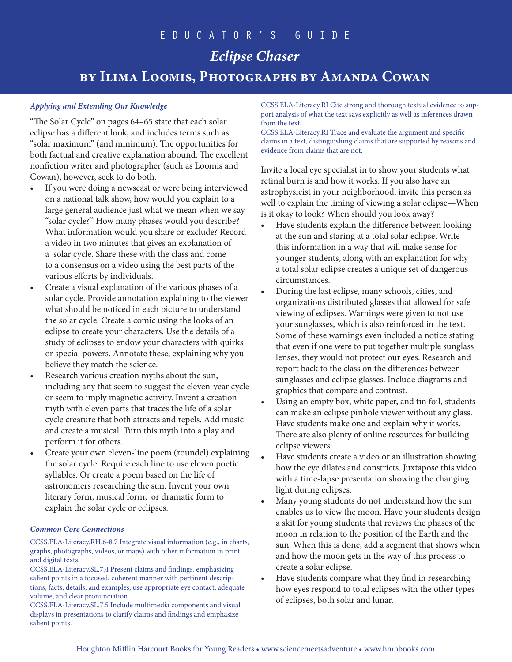## *Eclipse Chaser* **by Ilima Loomis, Photographs by Amanda Cowan**

### *Applying and Extending Our Knowledge*

"The Solar Cycle" on pages 64–65 state that each solar eclipse has a different look, and includes terms such as "solar maximum" (and minimum). The opportunities for both factual and creative explanation abound. The excellent nonfiction writer and photographer (such as Loomis and Cowan), however, seek to do both.

- If you were doing a newscast or were being interviewed on a national talk show, how would you explain to a large general audience just what we mean when we say "solar cycle?" How many phases would you describe? What information would you share or exclude? Record a video in two minutes that gives an explanation of a solar cycle. Share these with the class and come to a consensus on a video using the best parts of the various efforts by individuals.
- Create a visual explanation of the various phases of a solar cycle. Provide annotation explaining to the viewer what should be noticed in each picture to understand the solar cycle. Create a comic using the looks of an eclipse to create your characters. Use the details of a study of eclipses to endow your characters with quirks or special powers. Annotate these, explaining why you believe they match the science.
- Research various creation myths about the sun, including any that seem to suggest the eleven-year cycle or seem to imply magnetic activity. Invent a creation myth with eleven parts that traces the life of a solar cycle creature that both attracts and repels. Add music and create a musical. Turn this myth into a play and perform it for others.
- Create your own eleven-line poem (roundel) explaining the solar cycle. Require each line to use eleven poetic syllables. Or create a poem based on the life of astronomers researching the sun. Invent your own literary form, musical form, or dramatic form to explain the solar cycle or eclipses.

### *Common Core Connections*

CCSS.ELA-Literacy.RH.6-8.7 Integrate visual information (e.g., in charts, graphs, photographs, videos, or maps) with other information in print and digital texts.

CCSS.ELA-Literacy.SL.7.4 Present claims and findings, emphasizing salient points in a focused, coherent manner with pertinent descriptions, facts, details, and examples; use appropriate eye contact, adequate volume, and clear pronunciation.

CCSS.ELA-Literacy.SL.7.5 Include multimedia components and visual displays in presentations to clarify claims and findings and emphasize salient points.

CCSS.ELA-Literacy.RI Cite strong and thorough textual evidence to support analysis of what the text says explicitly as well as inferences drawn from the text.

CCSS.ELA-Literacy.RI Trace and evaluate the argument and specific claims in a text, distinguishing claims that are supported by reasons and evidence from claims that are not.

Invite a local eye specialist in to show your students what retinal burn is and how it works. If you also have an astrophysicist in your neighborhood, invite this person as well to explain the timing of viewing a solar eclipse—When is it okay to look? When should you look away?

- Have students explain the difference between looking at the sun and staring at a total solar eclipse. Write this information in a way that will make sense for younger students, along with an explanation for why a total solar eclipse creates a unique set of dangerous circumstances.
- During the last eclipse, many schools, cities, and organizations distributed glasses that allowed for safe viewing of eclipses. Warnings were given to not use your sunglasses, which is also reinforced in the text. Some of these warnings even included a notice stating that even if one were to put together multiple sunglass lenses, they would not protect our eyes. Research and report back to the class on the differences between sunglasses and eclipse glasses. Include diagrams and graphics that compare and contrast.
- Using an empty box, white paper, and tin foil, students can make an eclipse pinhole viewer without any glass. Have students make one and explain why it works. There are also plenty of online resources for building eclipse viewers.
- Have students create a video or an illustration showing how the eye dilates and constricts. Juxtapose this video with a time-lapse presentation showing the changing light during eclipses.
- Many young students do not understand how the sun enables us to view the moon. Have your students design a skit for young students that reviews the phases of the moon in relation to the position of the Earth and the sun. When this is done, add a segment that shows when and how the moon gets in the way of this process to create a solar eclipse.
- Have students compare what they find in researching how eyes respond to total eclipses with the other types of eclipses, both solar and lunar.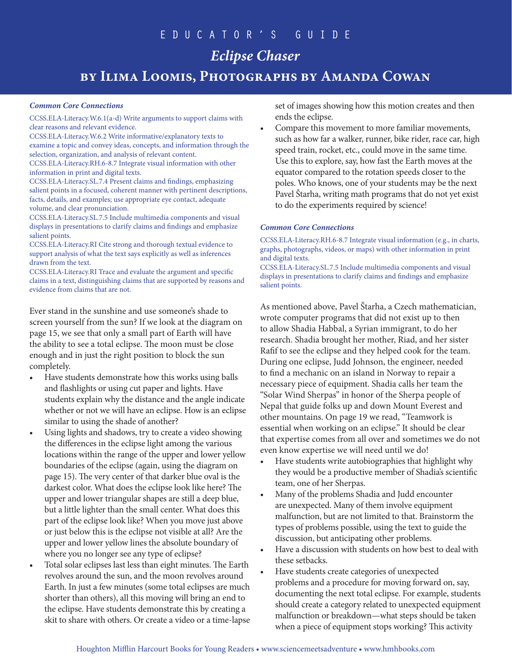## *Eclipse Chaser*

**by Ilima Loomis, Photographs by Amanda Cowan**

### *Common Core Connections*

CCSS.ELA-Literacy.W.6.1(a-d) Write arguments to support claims with clear reasons and relevant evidence.

CCSS.ELA-Literacy.W.6.2 Write informative/explanatory texts to examine a topic and convey ideas, concepts, and information through the selection, organization, and analysis of relevant content.

CCSS.ELA-Literacy.RH.6-8.7 Integrate visual information with other information in print and digital texts.

CCSS.ELA-Literacy.SL.7.4 Present claims and findings, emphasizing salient points in a focused, coherent manner with pertinent descriptions, facts, details, and examples; use appropriate eye contact, adequate volume, and clear pronunciation.

CCSS.ELA-Literacy.SL.7.5 Include multimedia components and visual displays in presentations to clarify claims and findings and emphasize salient points.

CCSS.ELA-Literacy.RI Cite strong and thorough textual evidence to support analysis of what the text says explicitly as well as inferences drawn from the text.

CCSS.ELA-Literacy.RI Trace and evaluate the argument and specific claims in a text, distinguishing claims that are supported by reasons and evidence from claims that are not.

Ever stand in the sunshine and use someone's shade to screen yourself from the sun? If we look at the diagram on page 15, we see that only a small part of Earth will have the ability to see a total eclipse. The moon must be close enough and in just the right position to block the sun completely.

- Have students demonstrate how this works using balls and flashlights or using cut paper and lights. Have students explain why the distance and the angle indicate whether or not we will have an eclipse. How is an eclipse similar to using the shade of another?
- Using lights and shadows, try to create a video showing the differences in the eclipse light among the various locations within the range of the upper and lower yellow boundaries of the eclipse (again, using the diagram on page 15). The very center of that darker blue oval is the darkest color. What does the eclipse look like here? The upper and lower triangular shapes are still a deep blue, but a little lighter than the small center. What does this part of the eclipse look like? When you move just above or just below this is the eclipse not visible at all? Are the upper and lower yellow lines the absolute boundary of where you no longer see any type of eclipse?
- Total solar eclipses last less than eight minutes. The Earth revolves around the sun, and the moon revolves around Earth. In just a few minutes (some total eclipses are much shorter than others), all this moving will bring an end to the eclipse. Have students demonstrate this by creating a skit to share with others. Or create a video or a time-lapse

set of images showing how this motion creates and then ends the eclipse.

• Compare this movement to more familiar movements, such as how far a walker, runner, bike rider, race car, high speed train, rocket, etc., could move in the same time. Use this to explore, say, how fast the Earth moves at the equator compared to the rotation speeds closer to the poles. Who knows, one of your students may be the next Pavel Štarha, writing math programs that do not yet exist to do the experiments required by science!

#### *Common Core Connections*

CCSS.ELA-Literacy.RH.6-8.7 Integrate visual information (e.g., in charts, graphs, photographs, videos, or maps) with other information in print and digital texts.

CCSS.ELA-Literacy.SL.7.5 Include multimedia components and visual displays in presentations to clarify claims and findings and emphasize salient points.

As mentioned above, Pavel Štarha, a Czech mathematician, wrote computer programs that did not exist up to then to allow Shadia Habbal, a Syrian immigrant, to do her research. Shadia brought her mother, Riad, and her sister Rafif to see the eclipse and they helped cook for the team. During one eclipse, Judd Johnson, the engineer, needed to find a mechanic on an island in Norway to repair a necessary piece of equipment. Shadia calls her team the "Solar Wind Sherpas" in honor of the Sherpa people of Nepal that guide folks up and down Mount Everest and other mountains. On page 19 we read, "Teamwork is essential when working on an eclipse." It should be clear that expertise comes from all over and sometimes we do not even know expertise we will need until we do!

- Have students write autobiographies that highlight why they would be a productive member of Shadia's scientific team, one of her Sherpas.
- Many of the problems Shadia and Judd encounter are unexpected. Many of them involve equipment malfunction, but are not limited to that. Brainstorm the types of problems possible, using the text to guide the discussion, but anticipating other problems.
- Have a discussion with students on how best to deal with these setbacks.
- Have students create categories of unexpected problems and a procedure for moving forward on, say, documenting the next total eclipse. For example, students should create a category related to unexpected equipment malfunction or breakdown—what steps should be taken when a piece of equipment stops working? This activity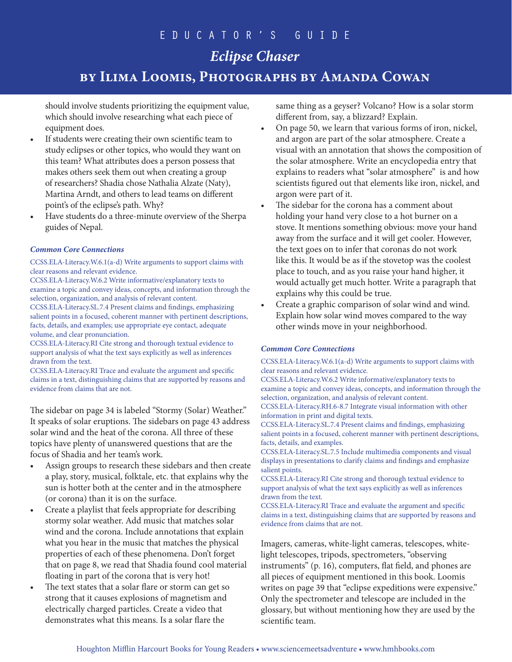# *Eclipse Chaser*

## **by Ilima Loomis, Photographs by Amanda Cowan**

should involve students prioritizing the equipment value, which should involve researching what each piece of equipment does.

- If students were creating their own scientific team to study eclipses or other topics, who would they want on this team? What attributes does a person possess that makes others seek them out when creating a group of researchers? Shadia chose Nathalia Alzate (Naty), Martina Arndt, and others to lead teams on different point's of the eclipse's path. Why?
- Have students do a three-minute overview of the Sherpa guides of Nepal.

### *Common Core Connections*

CCSS.ELA-Literacy.W.6.1(a-d) Write arguments to support claims with clear reasons and relevant evidence.

CCSS.ELA-Literacy.W.6.2 Write informative/explanatory texts to examine a topic and convey ideas, concepts, and information through the selection, organization, and analysis of relevant content.

CCSS.ELA-Literacy.SL.7.4 Present claims and findings, emphasizing salient points in a focused, coherent manner with pertinent descriptions, facts, details, and examples; use appropriate eye contact, adequate volume, and clear pronunciation.

CCSS.ELA-Literacy.RI Cite strong and thorough textual evidence to support analysis of what the text says explicitly as well as inferences drawn from the text.

CCSS.ELA-Literacy.RI Trace and evaluate the argument and specific claims in a text, distinguishing claims that are supported by reasons and evidence from claims that are not.

The sidebar on page 34 is labeled "Stormy (Solar) Weather." It speaks of solar eruptions. The sidebars on page 43 address solar wind and the heat of the corona. All three of these topics have plenty of unanswered questions that are the focus of Shadia and her team's work.

- Assign groups to research these sidebars and then create a play, story, musical, folktale, etc. that explains why the sun is hotter both at the center and in the atmosphere (or corona) than it is on the surface.
- Create a playlist that feels appropriate for describing stormy solar weather. Add music that matches solar wind and the corona. Include annotations that explain what you hear in the music that matches the physical properties of each of these phenomena. Don't forget that on page 8, we read that Shadia found cool material floating in part of the corona that is very hot!
- The text states that a solar flare or storm can get so strong that it causes explosions of magnetism and electrically charged particles. Create a video that demonstrates what this means. Is a solar flare the

same thing as a geyser? Volcano? How is a solar storm different from, say, a blizzard? Explain.

- On page 50, we learn that various forms of iron, nickel, and argon are part of the solar atmosphere. Create a visual with an annotation that shows the composition of the solar atmosphere. Write an encyclopedia entry that explains to readers what "solar atmosphere" is and how scientists figured out that elements like iron, nickel, and argon were part of it.
- The sidebar for the corona has a comment about holding your hand very close to a hot burner on a stove. It mentions something obvious: move your hand away from the surface and it will get cooler. However, the text goes on to infer that coronas do not work like this. It would be as if the stovetop was the coolest place to touch, and as you raise your hand higher, it would actually get much hotter. Write a paragraph that explains why this could be true.
- Create a graphic comparison of solar wind and wind. Explain how solar wind moves compared to the way other winds move in your neighborhood.

### *Common Core Connections*

CCSS.ELA-Literacy.W.6.1(a-d) Write arguments to support claims with clear reasons and relevant evidence.

CCSS.ELA-Literacy.W.6.2 Write informative/explanatory texts to examine a topic and convey ideas, concepts, and information through the selection, organization, and analysis of relevant content.

CCSS.ELA-Literacy.RH.6-8.7 Integrate visual information with other information in print and digital texts.

CCSS.ELA-Literacy.SL.7.4 Present claims and findings, emphasizing salient points in a focused, coherent manner with pertinent descriptions, facts, details, and examples.

CCSS.ELA-Literacy.SL.7.5 Include multimedia components and visual displays in presentations to clarify claims and findings and emphasize salient points.

CCSS.ELA-Literacy.RI Cite strong and thorough textual evidence to support analysis of what the text says explicitly as well as inferences drawn from the text.

CCSS.ELA-Literacy.RI Trace and evaluate the argument and specific claims in a text, distinguishing claims that are supported by reasons and evidence from claims that are not.

Imagers, cameras, white-light cameras, telescopes, whitelight telescopes, tripods, spectrometers, "observing instruments" (p. 16), computers, flat field, and phones are all pieces of equipment mentioned in this book. Loomis writes on page 39 that "eclipse expeditions were expensive." Only the spectrometer and telescope are included in the glossary, but without mentioning how they are used by the scientific team.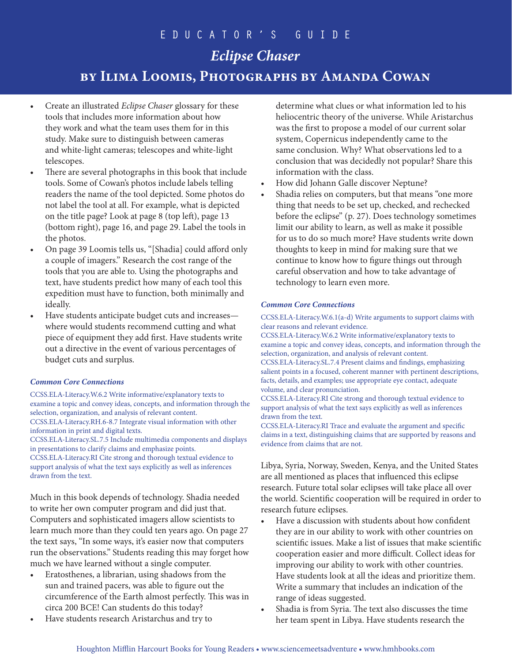## *Eclipse Chaser*

## **by Ilima Loomis, Photographs by Amanda Cowan**

- Create an illustrated *Eclipse Chaser* glossary for these tools that includes more information about how they work and what the team uses them for in this study. Make sure to distinguish between cameras and white-light cameras; telescopes and white-light telescopes.
- There are several photographs in this book that include tools. Some of Cowan's photos include labels telling readers the name of the tool depicted. Some photos do not label the tool at all. For example, what is depicted on the title page? Look at page 8 (top left), page 13 (bottom right), page 16, and page 29. Label the tools in the photos.
- On page 39 Loomis tells us, "[Shadia] could afford only a couple of imagers." Research the cost range of the tools that you are able to. Using the photographs and text, have students predict how many of each tool this expedition must have to function, both minimally and ideally.
- Have students anticipate budget cuts and increases where would students recommend cutting and what piece of equipment they add first. Have students write out a directive in the event of various percentages of budget cuts and surplus.

### *Common Core Connections*

CCSS.ELA-Literacy.W.6.2 Write informative/explanatory texts to examine a topic and convey ideas, concepts, and information through the selection, organization, and analysis of relevant content. CCSS.ELA-Literacy.RH.6-8.7 Integrate visual information with other information in print and digital texts. CCSS.ELA-Literacy.SL.7.5 Include multimedia components and displays in presentations to clarify claims and emphasize points.

CCSS.ELA-Literacy.RI Cite strong and thorough textual evidence to support analysis of what the text says explicitly as well as inferences drawn from the text.

Much in this book depends of technology. Shadia needed to write her own computer program and did just that. Computers and sophisticated imagers allow scientists to learn much more than they could ten years ago. On page 27 the text says, "In some ways, it's easier now that computers run the observations." Students reading this may forget how much we have learned without a single computer.

- Eratosthenes, a librarian, using shadows from the sun and trained pacers, was able to figure out the circumference of the Earth almost perfectly. This was in circa 200 BCE! Can students do this today?
- Have students research Aristarchus and try to

determine what clues or what information led to his heliocentric theory of the universe. While Aristarchus was the first to propose a model of our current solar system, Copernicus independently came to the same conclusion. Why? What observations led to a conclusion that was decidedly not popular? Share this information with the class.

- How did Johann Galle discover Neptune?
- Shadia relies on computers, but that means "one more thing that needs to be set up, checked, and rechecked before the eclipse" (p. 27). Does technology sometimes limit our ability to learn, as well as make it possible for us to do so much more? Have students write down thoughts to keep in mind for making sure that we continue to know how to figure things out through careful observation and how to take advantage of technology to learn even more.

### *Common Core Connections*

### CCSS.ELA-Literacy.W.6.1(a-d) Write arguments to support claims with clear reasons and relevant evidence.

CCSS.ELA-Literacy.W.6.2 Write informative/explanatory texts to examine a topic and convey ideas, concepts, and information through the selection, organization, and analysis of relevant content.

CCSS.ELA-Literacy.SL.7.4 Present claims and findings, emphasizing salient points in a focused, coherent manner with pertinent descriptions, facts, details, and examples; use appropriate eye contact, adequate volume, and clear pronunciation.

CCSS.ELA-Literacy.RI Cite strong and thorough textual evidence to support analysis of what the text says explicitly as well as inferences drawn from the text.

CCSS.ELA-Literacy.RI Trace and evaluate the argument and specific claims in a text, distinguishing claims that are supported by reasons and evidence from claims that are not.

Libya, Syria, Norway, Sweden, Kenya, and the United States are all mentioned as places that influenced this eclipse research. Future total solar eclipses will take place all over the world. Scientific cooperation will be required in order to research future eclipses.

- Have a discussion with students about how confident they are in our ability to work with other countries on scientific issues. Make a list of issues that make scientific cooperation easier and more difficult. Collect ideas for improving our ability to work with other countries. Have students look at all the ideas and prioritize them. Write a summary that includes an indication of the range of ideas suggested.
- Shadia is from Syria. The text also discusses the time her team spent in Libya. Have students research the